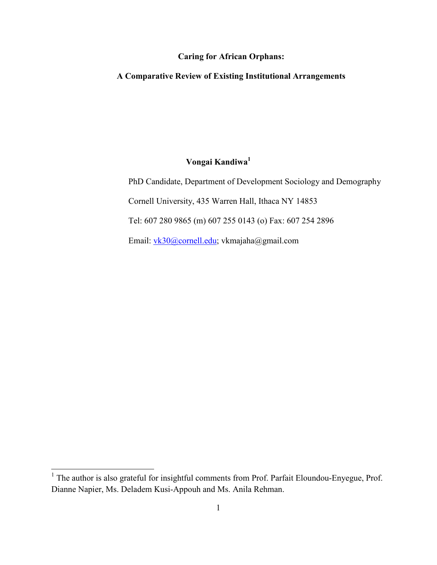# Caring for African Orphans:

# A Comparative Review of Existing Institutional Arrangements

# Vongai Kandiwa<sup>1</sup>

PhD Candidate, Department of Development Sociology and Demography Cornell University, 435 Warren Hall, Ithaca NY 14853 Tel: 607 280 9865 (m) 607 255 0143 (o) Fax: 607 254 2896 Email: vk30@cornell.edu; vkmajaha@gmail.com

 $\overline{a}$ 

<sup>&</sup>lt;sup>1</sup> The author is also grateful for insightful comments from Prof. Parfait Eloundou-Enyegue, Prof. Dianne Napier, Ms. Deladem Kusi-Appouh and Ms. Anila Rehman.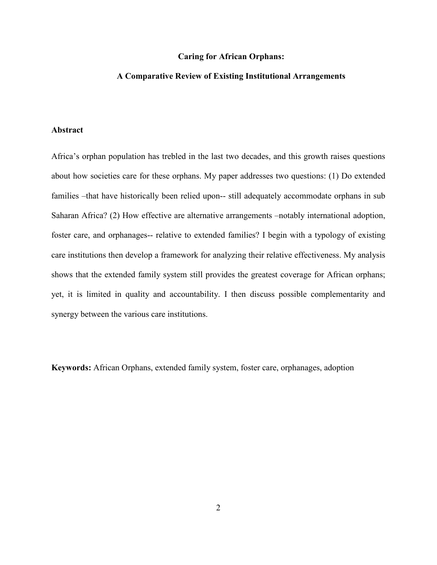#### Caring for African Orphans:

# A Comparative Review of Existing Institutional Arrangements

# Abstract

Africa's orphan population has trebled in the last two decades, and this growth raises questions about how societies care for these orphans. My paper addresses two questions: (1) Do extended families –that have historically been relied upon-- still adequately accommodate orphans in sub Saharan Africa? (2) How effective are alternative arrangements –notably international adoption, foster care, and orphanages-- relative to extended families? I begin with a typology of existing care institutions then develop a framework for analyzing their relative effectiveness. My analysis shows that the extended family system still provides the greatest coverage for African orphans; yet, it is limited in quality and accountability. I then discuss possible complementarity and synergy between the various care institutions.

Keywords: African Orphans, extended family system, foster care, orphanages, adoption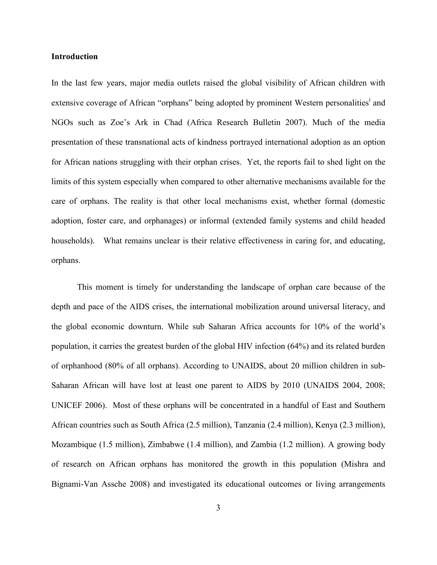#### Introduction

In the last few years, major media outlets raised the global visibility of African children with extensive coverage of African "orphans" being adopted by prominent Western personalities<sup>i</sup> and NGOs such as Zoe's Ark in Chad (Africa Research Bulletin 2007). Much of the media presentation of these transnational acts of kindness portrayed international adoption as an option for African nations struggling with their orphan crises. Yet, the reports fail to shed light on the limits of this system especially when compared to other alternative mechanisms available for the care of orphans. The reality is that other local mechanisms exist, whether formal (domestic adoption, foster care, and orphanages) or informal (extended family systems and child headed households). What remains unclear is their relative effectiveness in caring for, and educating, orphans.

 This moment is timely for understanding the landscape of orphan care because of the depth and pace of the AIDS crises, the international mobilization around universal literacy, and the global economic downturn. While sub Saharan Africa accounts for 10% of the world's population, it carries the greatest burden of the global HIV infection (64%) and its related burden of orphanhood (80% of all orphans). According to UNAIDS, about 20 million children in sub-Saharan African will have lost at least one parent to AIDS by 2010 (UNAIDS 2004, 2008; UNICEF 2006). Most of these orphans will be concentrated in a handful of East and Southern African countries such as South Africa (2.5 million), Tanzania (2.4 million), Kenya (2.3 million), Mozambique (1.5 million), Zimbabwe (1.4 million), and Zambia (1.2 million). A growing body of research on African orphans has monitored the growth in this population (Mishra and Bignami-Van Assche 2008) and investigated its educational outcomes or living arrangements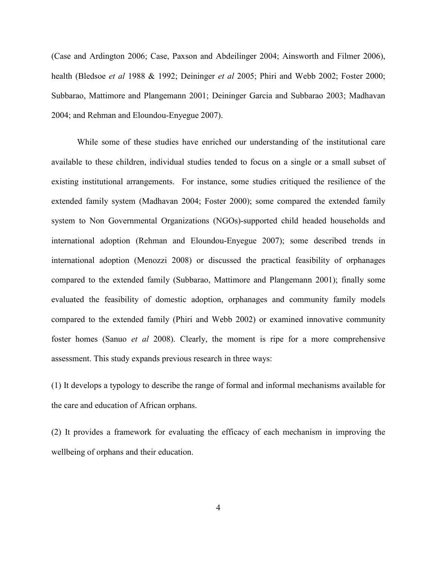(Case and Ardington 2006; Case, Paxson and Abdeilinger 2004; Ainsworth and Filmer 2006), health (Bledsoe et al 1988 & 1992; Deininger et al 2005; Phiri and Webb 2002; Foster 2000; Subbarao, Mattimore and Plangemann 2001; Deininger Garcia and Subbarao 2003; Madhavan 2004; and Rehman and Eloundou-Enyegue 2007).

While some of these studies have enriched our understanding of the institutional care available to these children, individual studies tended to focus on a single or a small subset of existing institutional arrangements. For instance, some studies critiqued the resilience of the extended family system (Madhavan 2004; Foster 2000); some compared the extended family system to Non Governmental Organizations (NGOs)-supported child headed households and international adoption (Rehman and Eloundou-Enyegue 2007); some described trends in international adoption (Menozzi 2008) or discussed the practical feasibility of orphanages compared to the extended family (Subbarao, Mattimore and Plangemann 2001); finally some evaluated the feasibility of domestic adoption, orphanages and community family models compared to the extended family (Phiri and Webb 2002) or examined innovative community foster homes (Sanuo et al 2008). Clearly, the moment is ripe for a more comprehensive assessment. This study expands previous research in three ways:

(1) It develops a typology to describe the range of formal and informal mechanisms available for the care and education of African orphans.

(2) It provides a framework for evaluating the efficacy of each mechanism in improving the wellbeing of orphans and their education.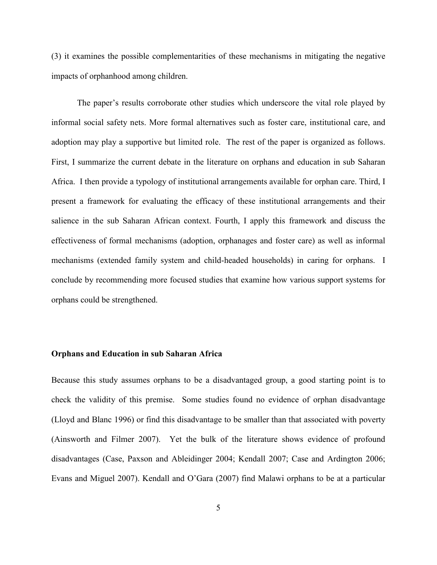(3) it examines the possible complementarities of these mechanisms in mitigating the negative impacts of orphanhood among children.

The paper's results corroborate other studies which underscore the vital role played by informal social safety nets. More formal alternatives such as foster care, institutional care, and adoption may play a supportive but limited role. The rest of the paper is organized as follows. First, I summarize the current debate in the literature on orphans and education in sub Saharan Africa. I then provide a typology of institutional arrangements available for orphan care. Third, I present a framework for evaluating the efficacy of these institutional arrangements and their salience in the sub Saharan African context. Fourth, I apply this framework and discuss the effectiveness of formal mechanisms (adoption, orphanages and foster care) as well as informal mechanisms (extended family system and child-headed households) in caring for orphans. I conclude by recommending more focused studies that examine how various support systems for orphans could be strengthened.

#### Orphans and Education in sub Saharan Africa

Because this study assumes orphans to be a disadvantaged group, a good starting point is to check the validity of this premise. Some studies found no evidence of orphan disadvantage (Lloyd and Blanc 1996) or find this disadvantage to be smaller than that associated with poverty (Ainsworth and Filmer 2007). Yet the bulk of the literature shows evidence of profound disadvantages (Case, Paxson and Ableidinger 2004; Kendall 2007; Case and Ardington 2006; Evans and Miguel 2007). Kendall and O'Gara (2007) find Malawi orphans to be at a particular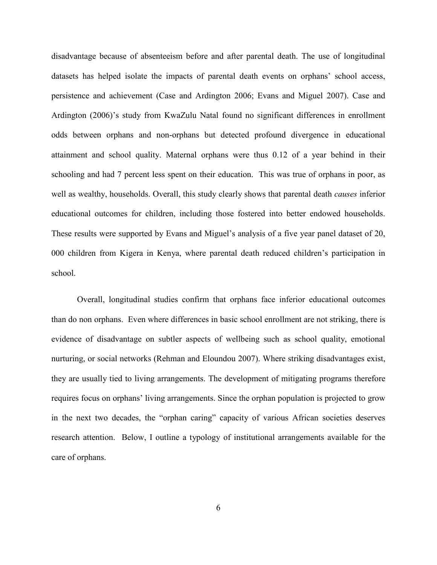disadvantage because of absenteeism before and after parental death. The use of longitudinal datasets has helped isolate the impacts of parental death events on orphans' school access, persistence and achievement (Case and Ardington 2006; Evans and Miguel 2007). Case and Ardington (2006)'s study from KwaZulu Natal found no significant differences in enrollment odds between orphans and non-orphans but detected profound divergence in educational attainment and school quality. Maternal orphans were thus 0.12 of a year behind in their schooling and had 7 percent less spent on their education. This was true of orphans in poor, as well as wealthy, households. Overall, this study clearly shows that parental death *causes* inferior educational outcomes for children, including those fostered into better endowed households. These results were supported by Evans and Miguel's analysis of a five year panel dataset of 20, 000 children from Kigera in Kenya, where parental death reduced children's participation in school.

 Overall, longitudinal studies confirm that orphans face inferior educational outcomes than do non orphans. Even where differences in basic school enrollment are not striking, there is evidence of disadvantage on subtler aspects of wellbeing such as school quality, emotional nurturing, or social networks (Rehman and Eloundou 2007). Where striking disadvantages exist, they are usually tied to living arrangements. The development of mitigating programs therefore requires focus on orphans' living arrangements. Since the orphan population is projected to grow in the next two decades, the "orphan caring" capacity of various African societies deserves research attention. Below, I outline a typology of institutional arrangements available for the care of orphans.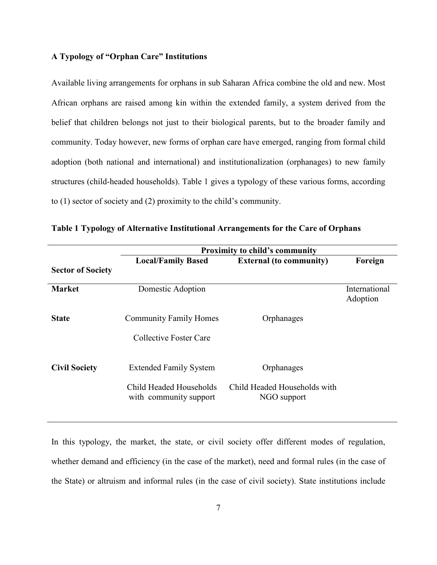# A Typology of "Orphan Care" Institutions

Available living arrangements for orphans in sub Saharan Africa combine the old and new. Most African orphans are raised among kin within the extended family, a system derived from the belief that children belongs not just to their biological parents, but to the broader family and community. Today however, new forms of orphan care have emerged, ranging from formal child adoption (both national and international) and institutionalization (orphanages) to new family structures (child-headed households). Table 1 gives a typology of these various forms, according to (1) sector of society and (2) proximity to the child's community.

|                          | <b>Proximity to child's community</b>             |                                             |                           |
|--------------------------|---------------------------------------------------|---------------------------------------------|---------------------------|
|                          | <b>Local/Family Based</b>                         | <b>External (to community)</b>              | Foreign                   |
| <b>Sector of Society</b> |                                                   |                                             |                           |
| <b>Market</b>            | Domestic Adoption                                 |                                             | International<br>Adoption |
| <b>State</b>             | <b>Community Family Homes</b>                     | Orphanages                                  |                           |
|                          | Collective Foster Care                            |                                             |                           |
| <b>Civil Society</b>     | <b>Extended Family System</b>                     | Orphanages                                  |                           |
|                          | Child Headed Households<br>with community support | Child Headed Households with<br>NGO support |                           |

Table 1 Typology of Alternative Institutional Arrangements for the Care of Orphans

In this typology, the market, the state, or civil society offer different modes of regulation, whether demand and efficiency (in the case of the market), need and formal rules (in the case of the State) or altruism and informal rules (in the case of civil society). State institutions include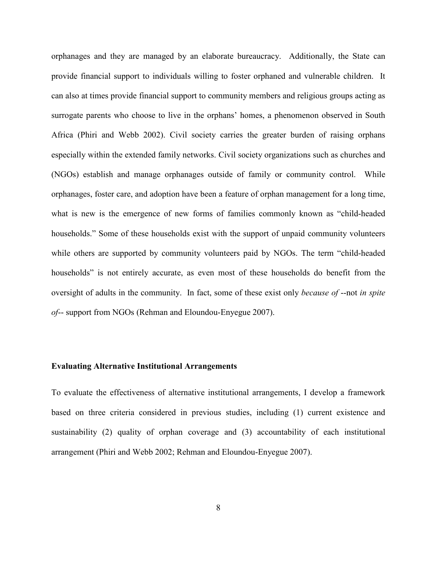orphanages and they are managed by an elaborate bureaucracy. Additionally, the State can provide financial support to individuals willing to foster orphaned and vulnerable children. It can also at times provide financial support to community members and religious groups acting as surrogate parents who choose to live in the orphans' homes, a phenomenon observed in South Africa (Phiri and Webb 2002). Civil society carries the greater burden of raising orphans especially within the extended family networks. Civil society organizations such as churches and (NGOs) establish and manage orphanages outside of family or community control. While orphanages, foster care, and adoption have been a feature of orphan management for a long time, what is new is the emergence of new forms of families commonly known as "child-headed households." Some of these households exist with the support of unpaid community volunteers while others are supported by community volunteers paid by NGOs. The term "child-headed households" is not entirely accurate, as even most of these households do benefit from the oversight of adults in the community. In fact, some of these exist only *because of* --not in spite of-- support from NGOs (Rehman and Eloundou-Enyegue 2007).

#### Evaluating Alternative Institutional Arrangements

To evaluate the effectiveness of alternative institutional arrangements, I develop a framework based on three criteria considered in previous studies, including (1) current existence and sustainability (2) quality of orphan coverage and (3) accountability of each institutional arrangement (Phiri and Webb 2002; Rehman and Eloundou-Enyegue 2007).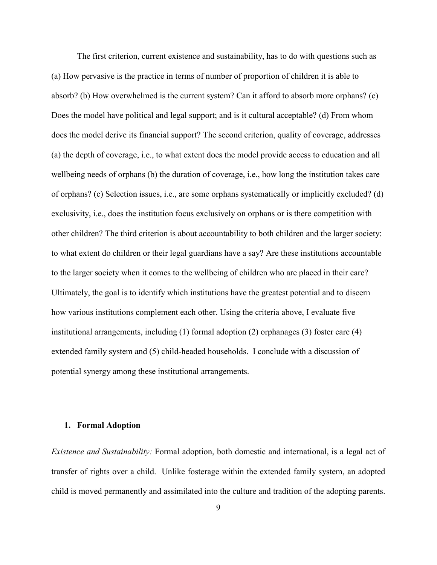The first criterion, current existence and sustainability, has to do with questions such as (a) How pervasive is the practice in terms of number of proportion of children it is able to absorb? (b) How overwhelmed is the current system? Can it afford to absorb more orphans? (c) Does the model have political and legal support; and is it cultural acceptable? (d) From whom does the model derive its financial support? The second criterion, quality of coverage, addresses (a) the depth of coverage, i.e., to what extent does the model provide access to education and all wellbeing needs of orphans (b) the duration of coverage, i.e., how long the institution takes care of orphans? (c) Selection issues, i.e., are some orphans systematically or implicitly excluded? (d) exclusivity, i.e., does the institution focus exclusively on orphans or is there competition with other children? The third criterion is about accountability to both children and the larger society: to what extent do children or their legal guardians have a say? Are these institutions accountable to the larger society when it comes to the wellbeing of children who are placed in their care? Ultimately, the goal is to identify which institutions have the greatest potential and to discern how various institutions complement each other. Using the criteria above, I evaluate five institutional arrangements, including (1) formal adoption (2) orphanages (3) foster care (4) extended family system and (5) child-headed households. I conclude with a discussion of potential synergy among these institutional arrangements.

## 1. Formal Adoption

Existence and Sustainability: Formal adoption, both domestic and international, is a legal act of transfer of rights over a child. Unlike fosterage within the extended family system, an adopted child is moved permanently and assimilated into the culture and tradition of the adopting parents.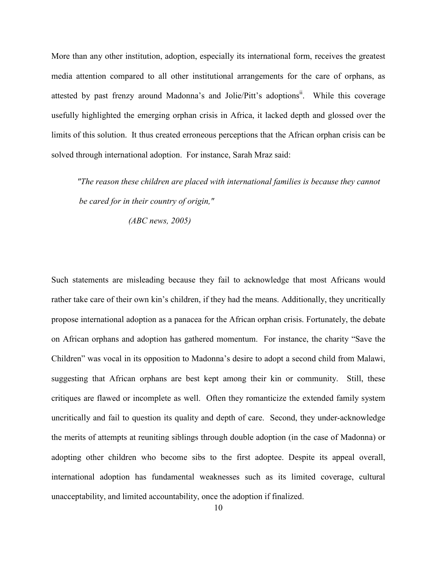More than any other institution, adoption, especially its international form, receives the greatest media attention compared to all other institutional arrangements for the care of orphans, as attested by past frenzy around Madonna's and Jolie/Pitt's adoptions<sup>ii</sup>. While this coverage usefully highlighted the emerging orphan crisis in Africa, it lacked depth and glossed over the limits of this solution. It thus created erroneous perceptions that the African orphan crisis can be solved through international adoption. For instance, Sarah Mraz said:

 "The reason these children are placed with international families is because they cannot be cared for in their country of origin,"

(ABC news, 2005)

Such statements are misleading because they fail to acknowledge that most Africans would rather take care of their own kin's children, if they had the means. Additionally, they uncritically propose international adoption as a panacea for the African orphan crisis. Fortunately, the debate on African orphans and adoption has gathered momentum. For instance, the charity "Save the Children" was vocal in its opposition to Madonna's desire to adopt a second child from Malawi, suggesting that African orphans are best kept among their kin or community. Still, these critiques are flawed or incomplete as well. Often they romanticize the extended family system uncritically and fail to question its quality and depth of care. Second, they under-acknowledge the merits of attempts at reuniting siblings through double adoption (in the case of Madonna) or adopting other children who become sibs to the first adoptee. Despite its appeal overall, international adoption has fundamental weaknesses such as its limited coverage, cultural unacceptability, and limited accountability, once the adoption if finalized.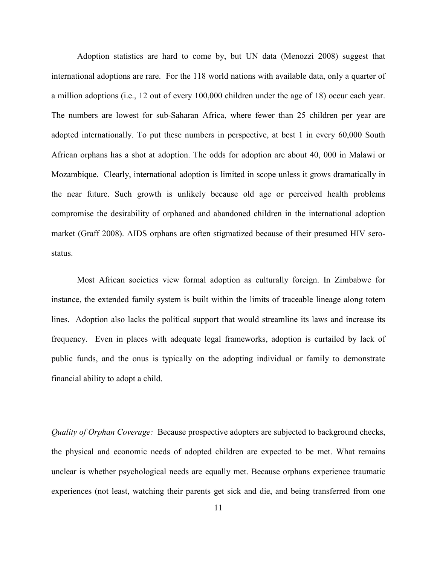Adoption statistics are hard to come by, but UN data (Menozzi 2008) suggest that international adoptions are rare. For the 118 world nations with available data, only a quarter of a million adoptions (i.e., 12 out of every 100,000 children under the age of 18) occur each year. The numbers are lowest for sub-Saharan Africa, where fewer than 25 children per year are adopted internationally. To put these numbers in perspective, at best 1 in every 60,000 South African orphans has a shot at adoption. The odds for adoption are about 40, 000 in Malawi or Mozambique. Clearly, international adoption is limited in scope unless it grows dramatically in the near future. Such growth is unlikely because old age or perceived health problems compromise the desirability of orphaned and abandoned children in the international adoption market (Graff 2008). AIDS orphans are often stigmatized because of their presumed HIV serostatus.

 Most African societies view formal adoption as culturally foreign. In Zimbabwe for instance, the extended family system is built within the limits of traceable lineage along totem lines. Adoption also lacks the political support that would streamline its laws and increase its frequency. Even in places with adequate legal frameworks, adoption is curtailed by lack of public funds, and the onus is typically on the adopting individual or family to demonstrate financial ability to adopt a child.

Quality of Orphan Coverage: Because prospective adopters are subjected to background checks, the physical and economic needs of adopted children are expected to be met. What remains unclear is whether psychological needs are equally met. Because orphans experience traumatic experiences (not least, watching their parents get sick and die, and being transferred from one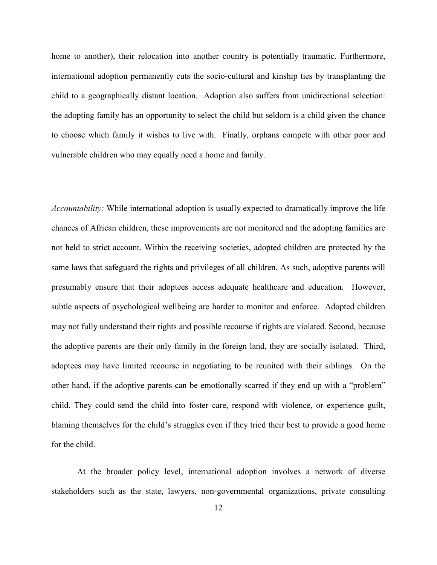home to another), their relocation into another country is potentially traumatic. Furthermore, international adoption permanently cuts the socio-cultural and kinship ties by transplanting the child to a geographically distant location. Adoption also suffers from unidirectional selection: the adopting family has an opportunity to select the child but seldom is a child given the chance to choose which family it wishes to live with. Finally, orphans compete with other poor and vulnerable children who may equally need a home and family.

Accountability: While international adoption is usually expected to dramatically improve the life chances of African children, these improvements are not monitored and the adopting families are not held to strict account. Within the receiving societies, adopted children are protected by the same laws that safeguard the rights and privileges of all children. As such, adoptive parents will presumably ensure that their adoptees access adequate healthcare and education. However, subtle aspects of psychological wellbeing are harder to monitor and enforce. Adopted children may not fully understand their rights and possible recourse if rights are violated. Second, because the adoptive parents are their only family in the foreign land, they are socially isolated. Third, adoptees may have limited recourse in negotiating to be reunited with their siblings. On the other hand, if the adoptive parents can be emotionally scarred if they end up with a "problem" child. They could send the child into foster care, respond with violence, or experience guilt, blaming themselves for the child's struggles even if they tried their best to provide a good home for the child.

At the broader policy level, international adoption involves a network of diverse stakeholders such as the state, lawyers, non-governmental organizations, private consulting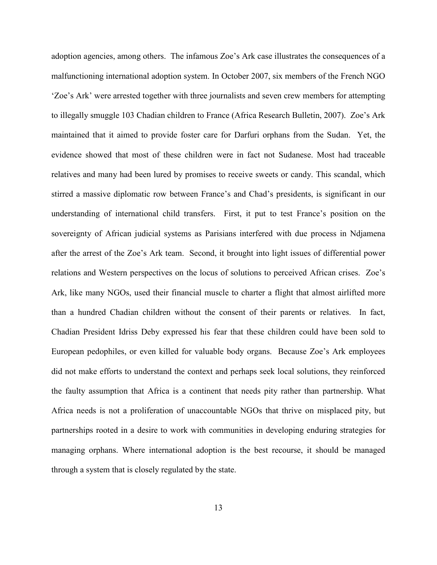adoption agencies, among others. The infamous Zoe's Ark case illustrates the consequences of a malfunctioning international adoption system. In October 2007, six members of the French NGO 'Zoe's Ark' were arrested together with three journalists and seven crew members for attempting to illegally smuggle 103 Chadian children to France (Africa Research Bulletin, 2007). Zoe's Ark maintained that it aimed to provide foster care for Darfuri orphans from the Sudan. Yet, the evidence showed that most of these children were in fact not Sudanese. Most had traceable relatives and many had been lured by promises to receive sweets or candy. This scandal, which stirred a massive diplomatic row between France's and Chad's presidents, is significant in our understanding of international child transfers. First, it put to test France's position on the sovereignty of African judicial systems as Parisians interfered with due process in Ndjamena after the arrest of the Zoe's Ark team. Second, it brought into light issues of differential power relations and Western perspectives on the locus of solutions to perceived African crises. Zoe's Ark, like many NGOs, used their financial muscle to charter a flight that almost airlifted more than a hundred Chadian children without the consent of their parents or relatives. In fact, Chadian President Idriss Deby expressed his fear that these children could have been sold to European pedophiles, or even killed for valuable body organs. Because Zoe's Ark employees did not make efforts to understand the context and perhaps seek local solutions, they reinforced the faulty assumption that Africa is a continent that needs pity rather than partnership. What Africa needs is not a proliferation of unaccountable NGOs that thrive on misplaced pity, but partnerships rooted in a desire to work with communities in developing enduring strategies for managing orphans. Where international adoption is the best recourse, it should be managed through a system that is closely regulated by the state.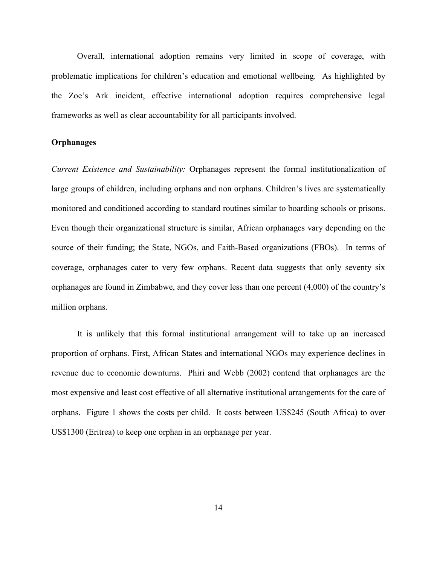Overall, international adoption remains very limited in scope of coverage, with problematic implications for children's education and emotional wellbeing. As highlighted by the Zoe's Ark incident, effective international adoption requires comprehensive legal frameworks as well as clear accountability for all participants involved.

## **Orphanages**

Current Existence and Sustainability: Orphanages represent the formal institutionalization of large groups of children, including orphans and non orphans. Children's lives are systematically monitored and conditioned according to standard routines similar to boarding schools or prisons. Even though their organizational structure is similar, African orphanages vary depending on the source of their funding; the State, NGOs, and Faith-Based organizations (FBOs). In terms of coverage, orphanages cater to very few orphans. Recent data suggests that only seventy six orphanages are found in Zimbabwe, and they cover less than one percent (4,000) of the country's million orphans.

It is unlikely that this formal institutional arrangement will to take up an increased proportion of orphans. First, African States and international NGOs may experience declines in revenue due to economic downturns. Phiri and Webb (2002) contend that orphanages are the most expensive and least cost effective of all alternative institutional arrangements for the care of orphans. Figure 1 shows the costs per child. It costs between US\$245 (South Africa) to over US\$1300 (Eritrea) to keep one orphan in an orphanage per year.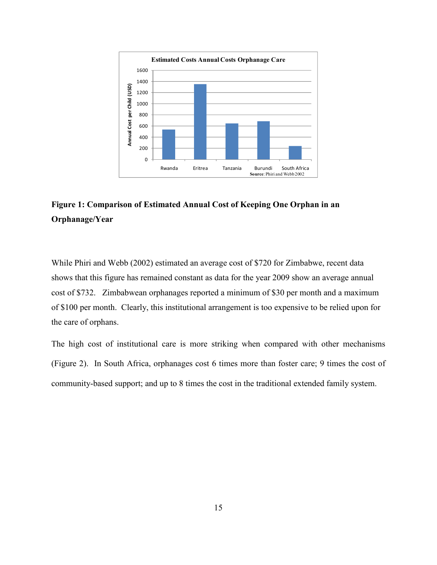

# Figure 1: Comparison of Estimated Annual Cost of Keeping One Orphan in an Orphanage/Year

While Phiri and Webb (2002) estimated an average cost of \$720 for Zimbabwe, recent data shows that this figure has remained constant as data for the year 2009 show an average annual cost of \$732. Zimbabwean orphanages reported a minimum of \$30 per month and a maximum of \$100 per month. Clearly, this institutional arrangement is too expensive to be relied upon for the care of orphans.

The high cost of institutional care is more striking when compared with other mechanisms (Figure 2). In South Africa, orphanages cost 6 times more than foster care; 9 times the cost of community-based support; and up to 8 times the cost in the traditional extended family system.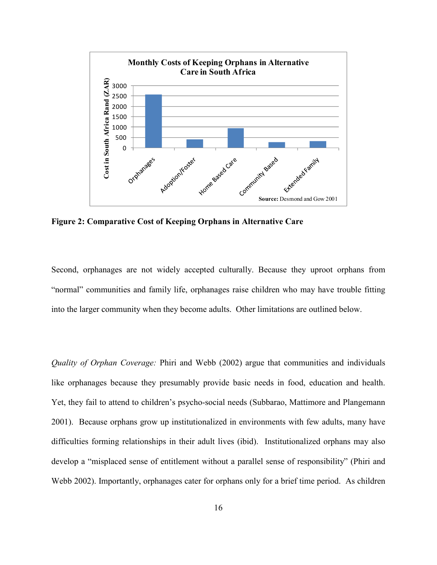

Figure 2: Comparative Cost of Keeping Orphans in Alternative Care

Second, orphanages are not widely accepted culturally. Because they uproot orphans from "normal" communities and family life, orphanages raise children who may have trouble fitting into the larger community when they become adults. Other limitations are outlined below.

Quality of Orphan Coverage: Phiri and Webb (2002) argue that communities and individuals like orphanages because they presumably provide basic needs in food, education and health. Yet, they fail to attend to children's psycho-social needs (Subbarao, Mattimore and Plangemann 2001). Because orphans grow up institutionalized in environments with few adults, many have difficulties forming relationships in their adult lives (ibid). Institutionalized orphans may also develop a "misplaced sense of entitlement without a parallel sense of responsibility" (Phiri and Webb 2002). Importantly, orphanages cater for orphans only for a brief time period. As children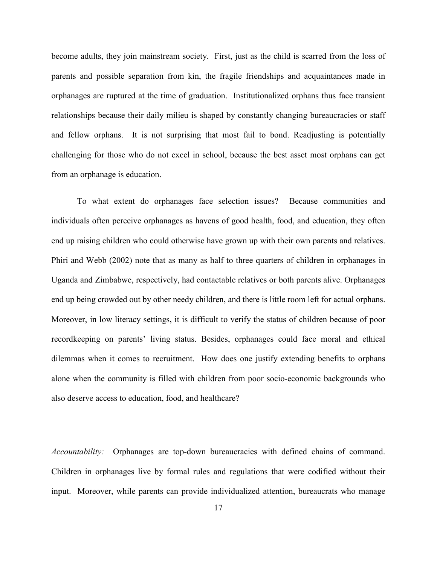become adults, they join mainstream society. First, just as the child is scarred from the loss of parents and possible separation from kin, the fragile friendships and acquaintances made in orphanages are ruptured at the time of graduation. Institutionalized orphans thus face transient relationships because their daily milieu is shaped by constantly changing bureaucracies or staff and fellow orphans. It is not surprising that most fail to bond. Readjusting is potentially challenging for those who do not excel in school, because the best asset most orphans can get from an orphanage is education.

To what extent do orphanages face selection issues? Because communities and individuals often perceive orphanages as havens of good health, food, and education, they often end up raising children who could otherwise have grown up with their own parents and relatives. Phiri and Webb (2002) note that as many as half to three quarters of children in orphanages in Uganda and Zimbabwe, respectively, had contactable relatives or both parents alive. Orphanages end up being crowded out by other needy children, and there is little room left for actual orphans. Moreover, in low literacy settings, it is difficult to verify the status of children because of poor recordkeeping on parents' living status. Besides, orphanages could face moral and ethical dilemmas when it comes to recruitment. How does one justify extending benefits to orphans alone when the community is filled with children from poor socio-economic backgrounds who also deserve access to education, food, and healthcare?

Accountability: Orphanages are top-down bureaucracies with defined chains of command. Children in orphanages live by formal rules and regulations that were codified without their input. Moreover, while parents can provide individualized attention, bureaucrats who manage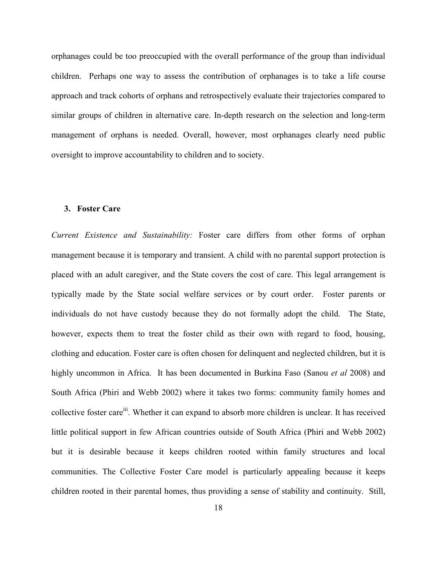orphanages could be too preoccupied with the overall performance of the group than individual children. Perhaps one way to assess the contribution of orphanages is to take a life course approach and track cohorts of orphans and retrospectively evaluate their trajectories compared to similar groups of children in alternative care. In-depth research on the selection and long-term management of orphans is needed. Overall, however, most orphanages clearly need public oversight to improve accountability to children and to society.

#### 3. Foster Care

Current Existence and Sustainability: Foster care differs from other forms of orphan management because it is temporary and transient. A child with no parental support protection is placed with an adult caregiver, and the State covers the cost of care. This legal arrangement is typically made by the State social welfare services or by court order. Foster parents or individuals do not have custody because they do not formally adopt the child. The State, however, expects them to treat the foster child as their own with regard to food, housing, clothing and education. Foster care is often chosen for delinquent and neglected children, but it is highly uncommon in Africa. It has been documented in Burkina Faso (Sanou *et al* 2008) and South Africa (Phiri and Webb 2002) where it takes two forms: community family homes and collective foster care<sup>iii</sup>. Whether it can expand to absorb more children is unclear. It has received little political support in few African countries outside of South Africa (Phiri and Webb 2002) but it is desirable because it keeps children rooted within family structures and local communities. The Collective Foster Care model is particularly appealing because it keeps children rooted in their parental homes, thus providing a sense of stability and continuity. Still,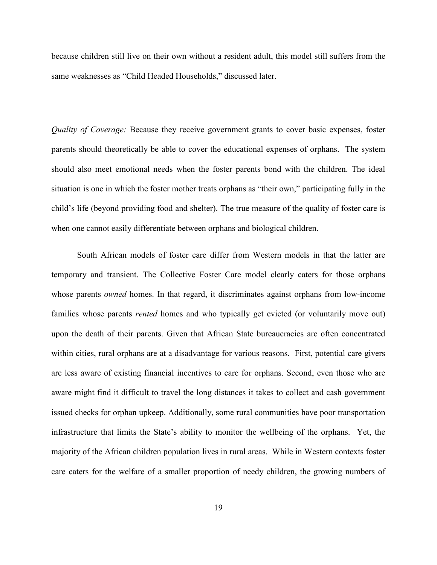because children still live on their own without a resident adult, this model still suffers from the same weaknesses as "Child Headed Households," discussed later.

Quality of Coverage: Because they receive government grants to cover basic expenses, foster parents should theoretically be able to cover the educational expenses of orphans. The system should also meet emotional needs when the foster parents bond with the children. The ideal situation is one in which the foster mother treats orphans as "their own," participating fully in the child's life (beyond providing food and shelter). The true measure of the quality of foster care is when one cannot easily differentiate between orphans and biological children.

 South African models of foster care differ from Western models in that the latter are temporary and transient. The Collective Foster Care model clearly caters for those orphans whose parents *owned* homes. In that regard, it discriminates against orphans from low-income families whose parents *rented* homes and who typically get evicted (or voluntarily move out) upon the death of their parents. Given that African State bureaucracies are often concentrated within cities, rural orphans are at a disadvantage for various reasons. First, potential care givers are less aware of existing financial incentives to care for orphans. Second, even those who are aware might find it difficult to travel the long distances it takes to collect and cash government issued checks for orphan upkeep. Additionally, some rural communities have poor transportation infrastructure that limits the State's ability to monitor the wellbeing of the orphans. Yet, the majority of the African children population lives in rural areas. While in Western contexts foster care caters for the welfare of a smaller proportion of needy children, the growing numbers of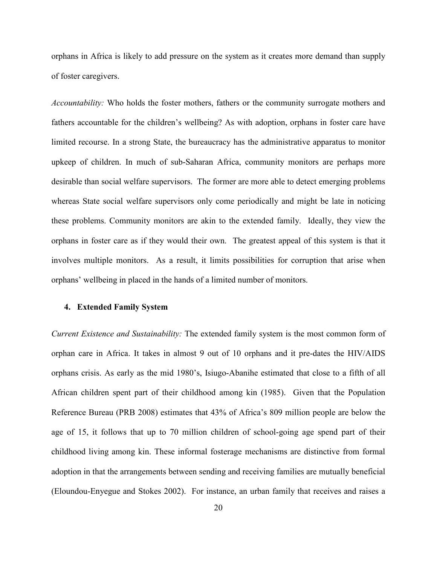orphans in Africa is likely to add pressure on the system as it creates more demand than supply of foster caregivers.

Accountability: Who holds the foster mothers, fathers or the community surrogate mothers and fathers accountable for the children's wellbeing? As with adoption, orphans in foster care have limited recourse. In a strong State, the bureaucracy has the administrative apparatus to monitor upkeep of children. In much of sub-Saharan Africa, community monitors are perhaps more desirable than social welfare supervisors. The former are more able to detect emerging problems whereas State social welfare supervisors only come periodically and might be late in noticing these problems. Community monitors are akin to the extended family. Ideally, they view the orphans in foster care as if they would their own. The greatest appeal of this system is that it involves multiple monitors. As a result, it limits possibilities for corruption that arise when orphans' wellbeing in placed in the hands of a limited number of monitors.

#### 4. Extended Family System

Current Existence and Sustainability: The extended family system is the most common form of orphan care in Africa. It takes in almost 9 out of 10 orphans and it pre-dates the HIV/AIDS orphans crisis. As early as the mid 1980's, Isiugo-Abanihe estimated that close to a fifth of all African children spent part of their childhood among kin (1985). Given that the Population Reference Bureau (PRB 2008) estimates that 43% of Africa's 809 million people are below the age of 15, it follows that up to 70 million children of school-going age spend part of their childhood living among kin. These informal fosterage mechanisms are distinctive from formal adoption in that the arrangements between sending and receiving families are mutually beneficial (Eloundou-Enyegue and Stokes 2002). For instance, an urban family that receives and raises a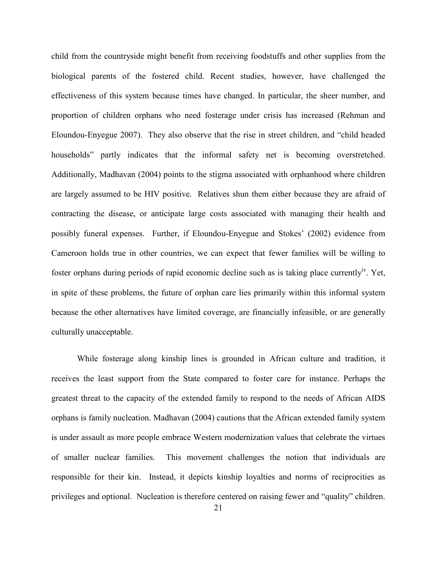child from the countryside might benefit from receiving foodstuffs and other supplies from the biological parents of the fostered child. Recent studies, however, have challenged the effectiveness of this system because times have changed. In particular, the sheer number, and proportion of children orphans who need fosterage under crisis has increased (Rehman and Eloundou-Enyegue 2007). They also observe that the rise in street children, and "child headed households" partly indicates that the informal safety net is becoming overstretched. Additionally, Madhavan (2004) points to the stigma associated with orphanhood where children are largely assumed to be HIV positive. Relatives shun them either because they are afraid of contracting the disease, or anticipate large costs associated with managing their health and possibly funeral expenses. Further, if Eloundou-Enyegue and Stokes' (2002) evidence from Cameroon holds true in other countries, we can expect that fewer families will be willing to foster orphans during periods of rapid economic decline such as is taking place currently<sup>*v*</sup>. Yet, in spite of these problems, the future of orphan care lies primarily within this informal system because the other alternatives have limited coverage, are financially infeasible, or are generally culturally unacceptable.

While fosterage along kinship lines is grounded in African culture and tradition, it receives the least support from the State compared to foster care for instance. Perhaps the greatest threat to the capacity of the extended family to respond to the needs of African AIDS orphans is family nucleation. Madhavan (2004) cautions that the African extended family system is under assault as more people embrace Western modernization values that celebrate the virtues of smaller nuclear families. This movement challenges the notion that individuals are responsible for their kin. Instead, it depicts kinship loyalties and norms of reciprocities as privileges and optional. Nucleation is therefore centered on raising fewer and "quality" children.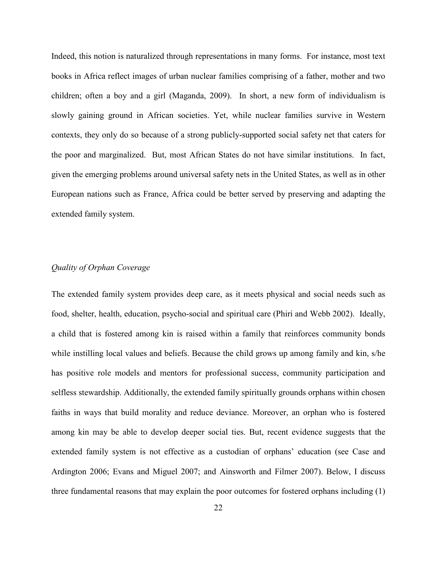Indeed, this notion is naturalized through representations in many forms. For instance, most text books in Africa reflect images of urban nuclear families comprising of a father, mother and two children; often a boy and a girl (Maganda, 2009). In short, a new form of individualism is slowly gaining ground in African societies. Yet, while nuclear families survive in Western contexts, they only do so because of a strong publicly-supported social safety net that caters for the poor and marginalized. But, most African States do not have similar institutions. In fact, given the emerging problems around universal safety nets in the United States, as well as in other European nations such as France, Africa could be better served by preserving and adapting the extended family system.

## Quality of Orphan Coverage

The extended family system provides deep care, as it meets physical and social needs such as food, shelter, health, education, psycho-social and spiritual care (Phiri and Webb 2002). Ideally, a child that is fostered among kin is raised within a family that reinforces community bonds while instilling local values and beliefs. Because the child grows up among family and kin, s/he has positive role models and mentors for professional success, community participation and selfless stewardship. Additionally, the extended family spiritually grounds orphans within chosen faiths in ways that build morality and reduce deviance. Moreover, an orphan who is fostered among kin may be able to develop deeper social ties. But, recent evidence suggests that the extended family system is not effective as a custodian of orphans' education (see Case and Ardington 2006; Evans and Miguel 2007; and Ainsworth and Filmer 2007). Below, I discuss three fundamental reasons that may explain the poor outcomes for fostered orphans including (1)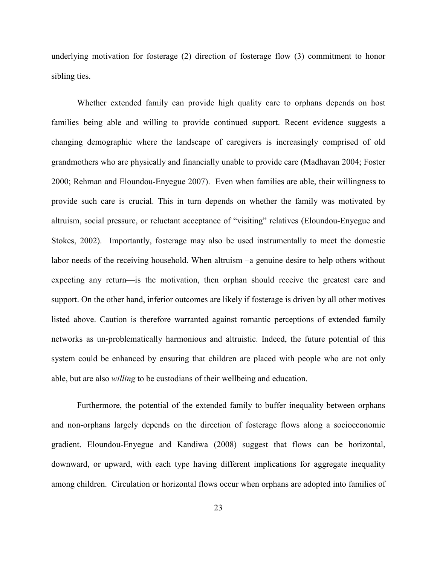underlying motivation for fosterage (2) direction of fosterage flow (3) commitment to honor sibling ties.

Whether extended family can provide high quality care to orphans depends on host families being able and willing to provide continued support. Recent evidence suggests a changing demographic where the landscape of caregivers is increasingly comprised of old grandmothers who are physically and financially unable to provide care (Madhavan 2004; Foster 2000; Rehman and Eloundou-Enyegue 2007). Even when families are able, their willingness to provide such care is crucial. This in turn depends on whether the family was motivated by altruism, social pressure, or reluctant acceptance of "visiting" relatives (Eloundou-Enyegue and Stokes, 2002). Importantly, fosterage may also be used instrumentally to meet the domestic labor needs of the receiving household. When altruism –a genuine desire to help others without expecting any return—is the motivation, then orphan should receive the greatest care and support. On the other hand, inferior outcomes are likely if fosterage is driven by all other motives listed above. Caution is therefore warranted against romantic perceptions of extended family networks as un-problematically harmonious and altruistic. Indeed, the future potential of this system could be enhanced by ensuring that children are placed with people who are not only able, but are also willing to be custodians of their wellbeing and education.

Furthermore, the potential of the extended family to buffer inequality between orphans and non-orphans largely depends on the direction of fosterage flows along a socioeconomic gradient. Eloundou-Enyegue and Kandiwa (2008) suggest that flows can be horizontal, downward, or upward, with each type having different implications for aggregate inequality among children. Circulation or horizontal flows occur when orphans are adopted into families of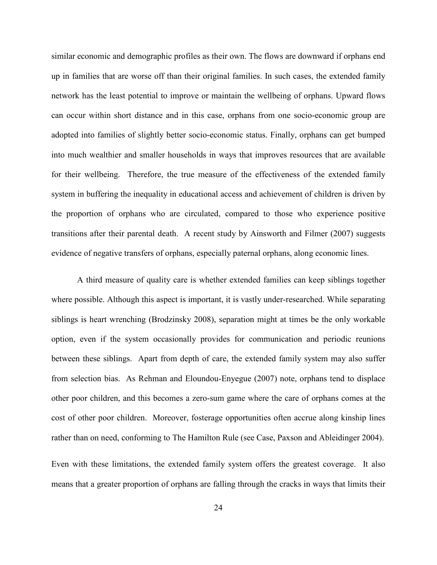similar economic and demographic profiles as their own. The flows are downward if orphans end up in families that are worse off than their original families. In such cases, the extended family network has the least potential to improve or maintain the wellbeing of orphans. Upward flows can occur within short distance and in this case, orphans from one socio-economic group are adopted into families of slightly better socio-economic status. Finally, orphans can get bumped into much wealthier and smaller households in ways that improves resources that are available for their wellbeing. Therefore, the true measure of the effectiveness of the extended family system in buffering the inequality in educational access and achievement of children is driven by the proportion of orphans who are circulated, compared to those who experience positive transitions after their parental death. A recent study by Ainsworth and Filmer (2007) suggests evidence of negative transfers of orphans, especially paternal orphans, along economic lines.

 A third measure of quality care is whether extended families can keep siblings together where possible. Although this aspect is important, it is vastly under-researched. While separating siblings is heart wrenching (Brodzinsky 2008), separation might at times be the only workable option, even if the system occasionally provides for communication and periodic reunions between these siblings. Apart from depth of care, the extended family system may also suffer from selection bias. As Rehman and Eloundou-Enyegue (2007) note, orphans tend to displace other poor children, and this becomes a zero-sum game where the care of orphans comes at the cost of other poor children. Moreover, fosterage opportunities often accrue along kinship lines rather than on need, conforming to The Hamilton Rule (see Case, Paxson and Ableidinger 2004).

Even with these limitations, the extended family system offers the greatest coverage. It also means that a greater proportion of orphans are falling through the cracks in ways that limits their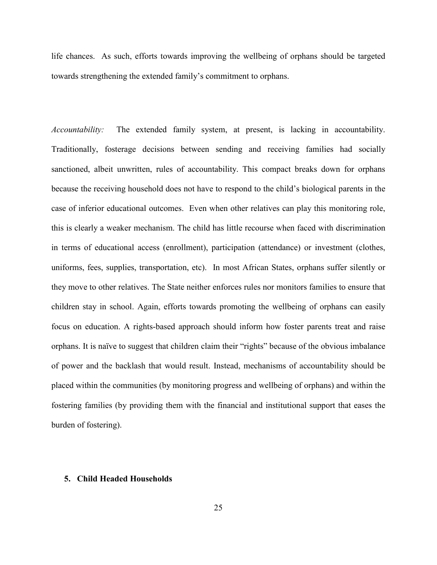life chances. As such, efforts towards improving the wellbeing of orphans should be targeted towards strengthening the extended family's commitment to orphans.

Accountability: The extended family system, at present, is lacking in accountability. Traditionally, fosterage decisions between sending and receiving families had socially sanctioned, albeit unwritten, rules of accountability. This compact breaks down for orphans because the receiving household does not have to respond to the child's biological parents in the case of inferior educational outcomes. Even when other relatives can play this monitoring role, this is clearly a weaker mechanism. The child has little recourse when faced with discrimination in terms of educational access (enrollment), participation (attendance) or investment (clothes, uniforms, fees, supplies, transportation, etc). In most African States, orphans suffer silently or they move to other relatives. The State neither enforces rules nor monitors families to ensure that children stay in school. Again, efforts towards promoting the wellbeing of orphans can easily focus on education. A rights-based approach should inform how foster parents treat and raise orphans. It is naïve to suggest that children claim their "rights" because of the obvious imbalance of power and the backlash that would result. Instead, mechanisms of accountability should be placed within the communities (by monitoring progress and wellbeing of orphans) and within the fostering families (by providing them with the financial and institutional support that eases the burden of fostering).

## 5. Child Headed Households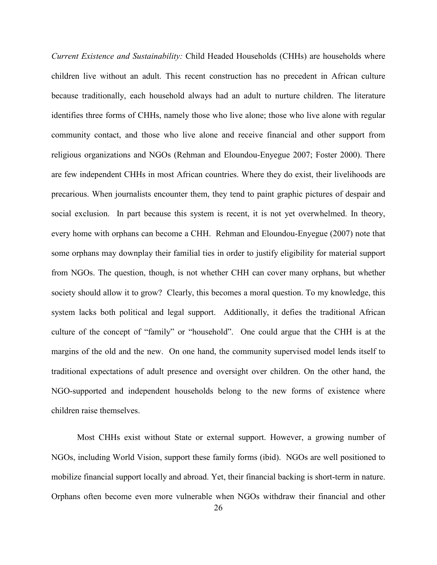Current Existence and Sustainability: Child Headed Households (CHHs) are households where children live without an adult. This recent construction has no precedent in African culture because traditionally, each household always had an adult to nurture children. The literature identifies three forms of CHHs, namely those who live alone; those who live alone with regular community contact, and those who live alone and receive financial and other support from religious organizations and NGOs (Rehman and Eloundou-Enyegue 2007; Foster 2000). There are few independent CHHs in most African countries. Where they do exist, their livelihoods are precarious. When journalists encounter them, they tend to paint graphic pictures of despair and social exclusion. In part because this system is recent, it is not yet overwhelmed. In theory, every home with orphans can become a CHH. Rehman and Eloundou-Enyegue (2007) note that some orphans may downplay their familial ties in order to justify eligibility for material support from NGOs. The question, though, is not whether CHH can cover many orphans, but whether society should allow it to grow? Clearly, this becomes a moral question. To my knowledge, this system lacks both political and legal support. Additionally, it defies the traditional African culture of the concept of "family" or "household". One could argue that the CHH is at the margins of the old and the new. On one hand, the community supervised model lends itself to traditional expectations of adult presence and oversight over children. On the other hand, the NGO-supported and independent households belong to the new forms of existence where children raise themselves.

 Most CHHs exist without State or external support. However, a growing number of NGOs, including World Vision, support these family forms (ibid). NGOs are well positioned to mobilize financial support locally and abroad. Yet, their financial backing is short-term in nature. Orphans often become even more vulnerable when NGOs withdraw their financial and other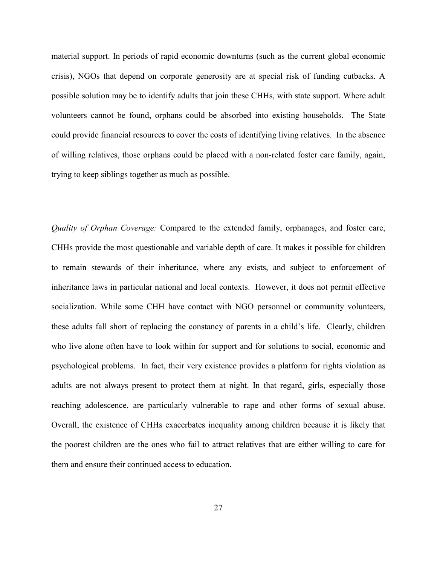material support. In periods of rapid economic downturns (such as the current global economic crisis), NGOs that depend on corporate generosity are at special risk of funding cutbacks. A possible solution may be to identify adults that join these CHHs, with state support. Where adult volunteers cannot be found, orphans could be absorbed into existing households. The State could provide financial resources to cover the costs of identifying living relatives. In the absence of willing relatives, those orphans could be placed with a non-related foster care family, again, trying to keep siblings together as much as possible.

Quality of Orphan Coverage: Compared to the extended family, orphanages, and foster care, CHHs provide the most questionable and variable depth of care. It makes it possible for children to remain stewards of their inheritance, where any exists, and subject to enforcement of inheritance laws in particular national and local contexts. However, it does not permit effective socialization. While some CHH have contact with NGO personnel or community volunteers, these adults fall short of replacing the constancy of parents in a child's life. Clearly, children who live alone often have to look within for support and for solutions to social, economic and psychological problems. In fact, their very existence provides a platform for rights violation as adults are not always present to protect them at night. In that regard, girls, especially those reaching adolescence, are particularly vulnerable to rape and other forms of sexual abuse. Overall, the existence of CHHs exacerbates inequality among children because it is likely that the poorest children are the ones who fail to attract relatives that are either willing to care for them and ensure their continued access to education.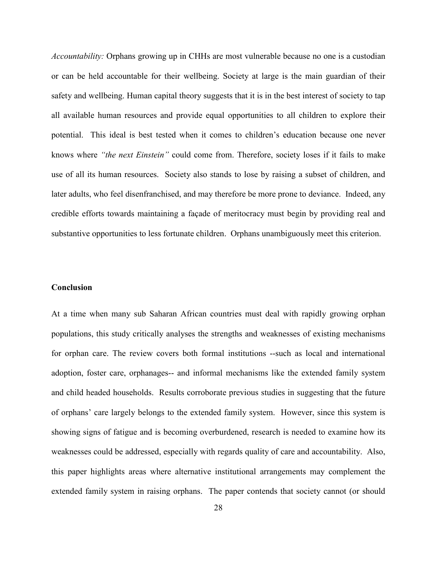Accountability: Orphans growing up in CHHs are most vulnerable because no one is a custodian or can be held accountable for their wellbeing. Society at large is the main guardian of their safety and wellbeing. Human capital theory suggests that it is in the best interest of society to tap all available human resources and provide equal opportunities to all children to explore their potential. This ideal is best tested when it comes to children's education because one never knows where "the next Einstein" could come from. Therefore, society loses if it fails to make use of all its human resources. Society also stands to lose by raising a subset of children, and later adults, who feel disenfranchised, and may therefore be more prone to deviance. Indeed, any credible efforts towards maintaining a façade of meritocracy must begin by providing real and substantive opportunities to less fortunate children. Orphans unambiguously meet this criterion.

# Conclusion

At a time when many sub Saharan African countries must deal with rapidly growing orphan populations, this study critically analyses the strengths and weaknesses of existing mechanisms for orphan care. The review covers both formal institutions --such as local and international adoption, foster care, orphanages-- and informal mechanisms like the extended family system and child headed households. Results corroborate previous studies in suggesting that the future of orphans' care largely belongs to the extended family system. However, since this system is showing signs of fatigue and is becoming overburdened, research is needed to examine how its weaknesses could be addressed, especially with regards quality of care and accountability. Also, this paper highlights areas where alternative institutional arrangements may complement the extended family system in raising orphans. The paper contends that society cannot (or should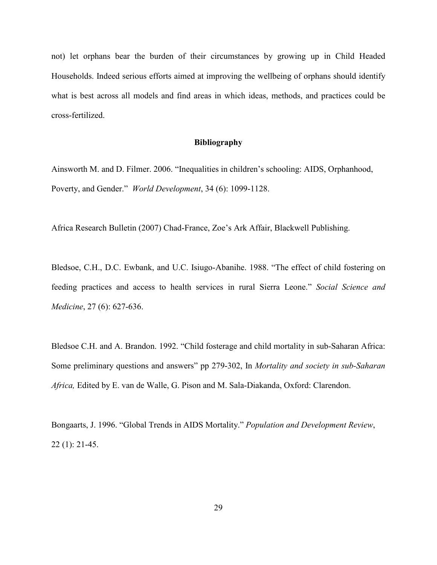not) let orphans bear the burden of their circumstances by growing up in Child Headed Households. Indeed serious efforts aimed at improving the wellbeing of orphans should identify what is best across all models and find areas in which ideas, methods, and practices could be cross-fertilized.

#### Bibliography

Ainsworth M. and D. Filmer. 2006. "Inequalities in children's schooling: AIDS, Orphanhood, Poverty, and Gender." World Development, 34 (6): 1099-1128.

Africa Research Bulletin (2007) Chad-France, Zoe's Ark Affair, Blackwell Publishing.

Bledsoe, C.H., D.C. Ewbank, and U.C. Isiugo-Abanihe. 1988. "The effect of child fostering on feeding practices and access to health services in rural Sierra Leone." Social Science and Medicine, 27 (6): 627-636.

Bledsoe C.H. and A. Brandon. 1992. "Child fosterage and child mortality in sub-Saharan Africa: Some preliminary questions and answers" pp 279-302, In Mortality and society in sub-Saharan Africa, Edited by E. van de Walle, G. Pison and M. Sala-Diakanda, Oxford: Clarendon.

Bongaarts, J. 1996. "Global Trends in AIDS Mortality." Population and Development Review, 22 (1): 21-45.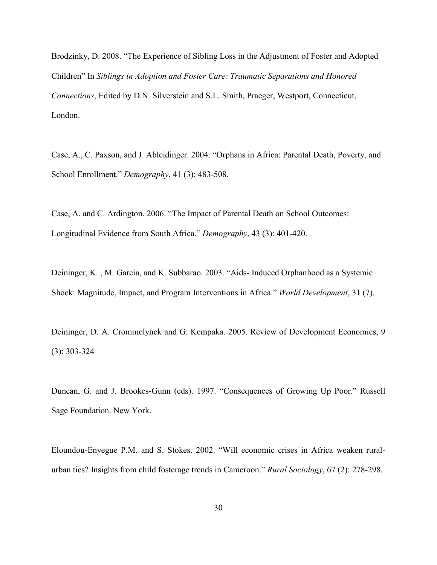Brodzinky, D. 2008. "The Experience of Sibling Loss in the Adjustment of Foster and Adopted Children" In Siblings in Adoption and Foster Care: Traumatic Separations and Honored Connections, Edited by D.N. Silverstein and S.L. Smith, Praeger, Westport, Connecticut, London.

Case, A., C. Paxson, and J. Ableidinger. 2004. "Orphans in Africa: Parental Death, Poverty, and School Enrollment." Demography, 41 (3): 483-508.

Case, A. and C. Ardington. 2006. "The Impact of Parental Death on School Outcomes: Longitudinal Evidence from South Africa." Demography, 43 (3): 401-420.

Deininger, K. , M. Garcia, and K. Subbarao. 2003. "Aids- Induced Orphanhood as a Systemic Shock: Magnitude, Impact, and Program Interventions in Africa." World Development, 31 (7).

Deininger, D. A. Crommelynck and G. Kempaka. 2005. Review of Development Economics, 9 (3): 303-324

Duncan, G. and J. Brookes-Gunn (eds). 1997. "Consequences of Growing Up Poor." Russell Sage Foundation. New York.

Eloundou-Enyegue P.M. and S. Stokes. 2002. "Will economic crises in Africa weaken ruralurban ties? Insights from child fosterage trends in Cameroon." Rural Sociology, 67 (2): 278-298.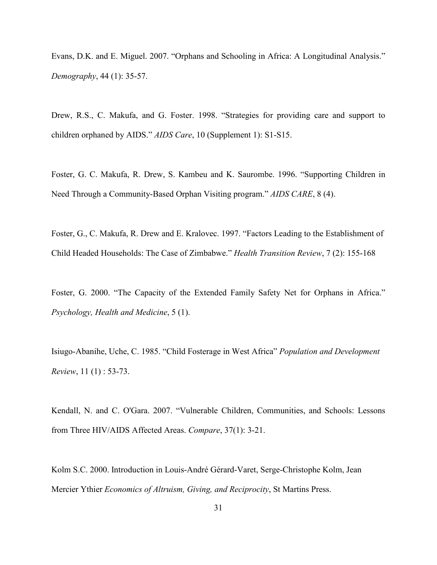Evans, D.K. and E. Miguel. 2007. "Orphans and Schooling in Africa: A Longitudinal Analysis." Demography, 44 (1): 35-57.

Drew, R.S., C. Makufa, and G. Foster. 1998. "Strategies for providing care and support to children orphaned by AIDS." AIDS Care, 10 (Supplement 1): S1-S15.

Foster, G. C. Makufa, R. Drew, S. Kambeu and K. Saurombe. 1996. "Supporting Children in Need Through a Community-Based Orphan Visiting program." AIDS CARE, 8 (4).

Foster, G., C. Makufa, R. Drew and E. Kralovec. 1997. "Factors Leading to the Establishment of Child Headed Households: The Case of Zimbabwe." Health Transition Review, 7 (2): 155-168

Foster, G. 2000. "The Capacity of the Extended Family Safety Net for Orphans in Africa." Psychology, Health and Medicine, 5 (1).

Isiugo-Abanihe, Uche, C. 1985. "Child Fosterage in West Africa" Population and Development Review, 11 (1) : 53-73.

Kendall, N. and C. O'Gara. 2007. "Vulnerable Children, Communities, and Schools: Lessons from Three HIV/AIDS Affected Areas. Compare, 37(1): 3-21.

Kolm S.C. 2000. Introduction in Louis-André Gérard-Varet, Serge-Christophe Kolm, Jean Mercier Ythier Economics of Altruism, Giving, and Reciprocity, St Martins Press.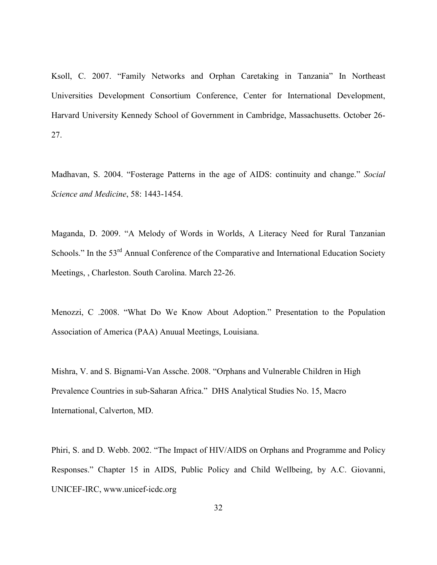Ksoll, C. 2007. "Family Networks and Orphan Caretaking in Tanzania" In Northeast Universities Development Consortium Conference, Center for International Development, Harvard University Kennedy School of Government in Cambridge, Massachusetts. October 26- 27.

Madhavan, S. 2004. "Fosterage Patterns in the age of AIDS: continuity and change." Social Science and Medicine, 58: 1443-1454.

Maganda, D. 2009. "A Melody of Words in Worlds, A Literacy Need for Rural Tanzanian Schools." In the 53<sup>rd</sup> Annual Conference of the Comparative and International Education Society Meetings, , Charleston. South Carolina. March 22-26.

Menozzi, C .2008. "What Do We Know About Adoption." Presentation to the Population Association of America (PAA) Anuual Meetings, Louisiana.

Mishra, V. and S. Bignami-Van Assche. 2008. "Orphans and Vulnerable Children in High Prevalence Countries in sub-Saharan Africa." DHS Analytical Studies No. 15, Macro International, Calverton, MD.

Phiri, S. and D. Webb. 2002. "The Impact of HIV/AIDS on Orphans and Programme and Policy Responses." Chapter 15 in AIDS, Public Policy and Child Wellbeing, by A.C. Giovanni, UNICEF-IRC, www.unicef-icdc.org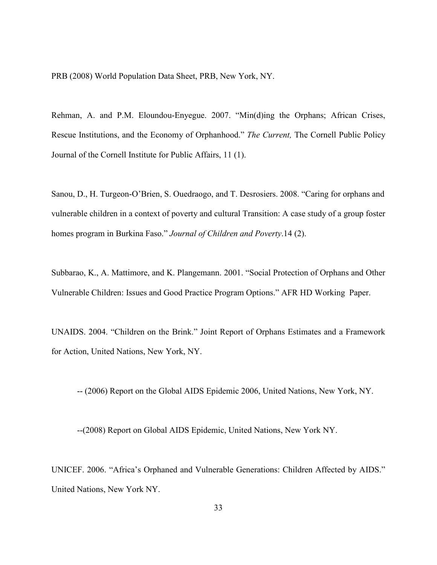PRB (2008) World Population Data Sheet, PRB, New York, NY.

Rehman, A. and P.M. Eloundou-Enyegue. 2007. "Min(d)ing the Orphans; African Crises, Rescue Institutions, and the Economy of Orphanhood." The Current, The Cornell Public Policy Journal of the Cornell Institute for Public Affairs, 11 (1).

Sanou, D., H. Turgeon-O'Brien, S. Ouedraogo, and T. Desrosiers. 2008. "Caring for orphans and vulnerable children in a context of poverty and cultural Transition: A case study of a group foster homes program in Burkina Faso." Journal of Children and Poverty.14 (2).

Subbarao, K., A. Mattimore, and K. Plangemann. 2001. "Social Protection of Orphans and Other Vulnerable Children: Issues and Good Practice Program Options." AFR HD Working Paper.

UNAIDS. 2004. "Children on the Brink." Joint Report of Orphans Estimates and a Framework for Action, United Nations, New York, NY.

-- (2006) Report on the Global AIDS Epidemic 2006, United Nations, New York, NY.

--(2008) Report on Global AIDS Epidemic, United Nations, New York NY.

UNICEF. 2006. "Africa's Orphaned and Vulnerable Generations: Children Affected by AIDS." United Nations, New York NY.